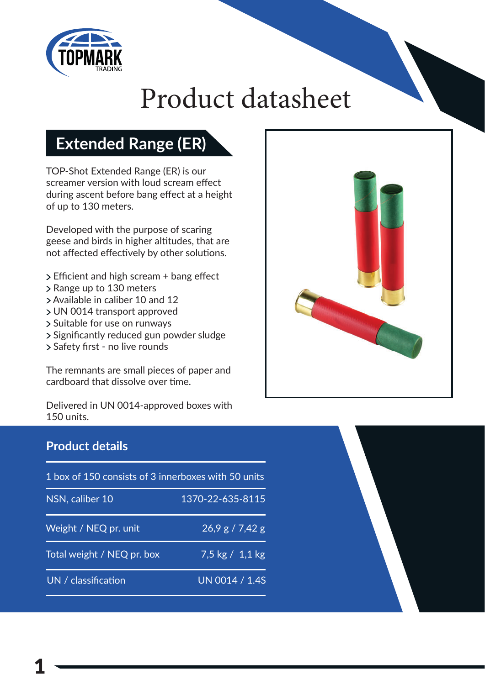

# Product datasheet

## **Extended Range (ER)**

TOP-Shot Extended Range (ER) is our screamer version with loud scream effect during ascent before bang effect at a height of up to 130 meters.

Developed with the purpose of scaring geese and birds in higher altitudes, that are not affected effectively by other solutions.

- $\geq$  Efficient and high scream + bang effect
- Range up to 130 meters
- Available in caliber 10 and 12
- UN 0014 transport approved
- Suitable for use on runways
- > Significantly reduced gun powder sludge
- > Safety first no live rounds

The remnants are small pieces of paper and cardboard that dissolve over time.

Delivered in UN 0014-approved boxes with 150 units.

### **Product details**

| 1 box of 150 consists of 3 innerboxes with 50 units |                                   |
|-----------------------------------------------------|-----------------------------------|
| NSN, caliber 10                                     | 1370-22-635-8115                  |
| Weight / NEQ pr. unit                               | 26.9 g / 7.42 g                   |
| Total weight / NEQ pr. box                          | $7.5 \text{ kg} / 1.1 \text{ kg}$ |
| UN / classification                                 | UN 0014 / 1.4S                    |